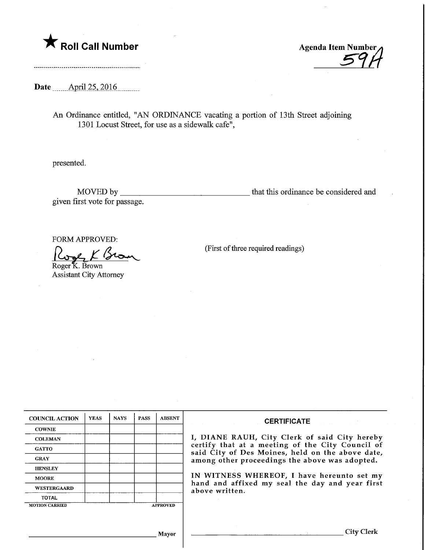

Roll Call Number<br>
Agenda Item Number<br>
39

Date ........April.25,.2016.

An Ordinance entitled, "AN ORDINANCE vacating a portion of 13th Street adjoining 1301 Locust Street, for use as a sidewalk cafe",

presented.

MOVED by that this ordinance be considered and given first vote for passage.

FORM APPROVED:

Roger K. Brown

Assistant City Attorney

^^0^ (First of three required readings)

| <b>COUNCIL ACTION</b> | <b>YEAS</b> | <b>NAYS</b> | <b>PASS</b> | <b>ABSENT</b>   | <b>CERTIFICATE</b>                                                                                                                                                                                                                                                                                                         |
|-----------------------|-------------|-------------|-------------|-----------------|----------------------------------------------------------------------------------------------------------------------------------------------------------------------------------------------------------------------------------------------------------------------------------------------------------------------------|
| <b>COWNIE</b>         |             |             |             |                 |                                                                                                                                                                                                                                                                                                                            |
| <b>COLEMAN</b>        |             |             |             |                 | I, DIANE RAUH, City Clerk of said City hereby<br>certify that at a meeting of the City Council of<br>said City of Des Moines, held on the above date,<br>among other proceedings the above was adopted.<br>IN WITNESS WHEREOF, I have hereunto set my<br>hand and affixed my seal the day and year first<br>above written. |
| <b>GATTO</b>          |             |             |             |                 |                                                                                                                                                                                                                                                                                                                            |
| <b>GRAY</b>           |             |             |             |                 |                                                                                                                                                                                                                                                                                                                            |
| <b>HENSLEY</b>        |             |             |             |                 |                                                                                                                                                                                                                                                                                                                            |
| <b>MOORE</b>          |             |             |             |                 |                                                                                                                                                                                                                                                                                                                            |
| WESTERGAARD           |             |             |             |                 |                                                                                                                                                                                                                                                                                                                            |
| <b>TOTAL</b>          |             |             |             |                 |                                                                                                                                                                                                                                                                                                                            |
| <b>MOTION CARRIED</b> |             |             |             | <b>APPROVED</b> |                                                                                                                                                                                                                                                                                                                            |
|                       |             |             |             |                 |                                                                                                                                                                                                                                                                                                                            |
|                       |             |             |             |                 |                                                                                                                                                                                                                                                                                                                            |
| Mayor                 |             |             |             |                 | City Clerk                                                                                                                                                                                                                                                                                                                 |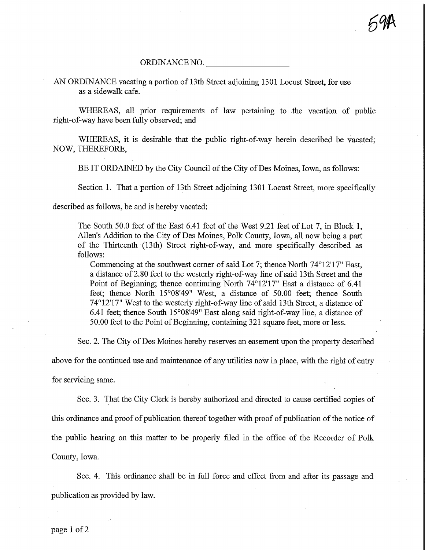## ORDINANCE NO.

## AN ORDINANCE vacating a portion of 13th Street adjoining 1301 Locust Street, for use as a sidewalk cafe.

WHEREAS, all prior requirements of law pertaining to the vacation of public right-of-way have been fully observed; and

WHEREAS, it is desirable that the public right-of-way herein described be vacated; NOW, THEREFORE,

BE IT ORDAINED by the City Council of the City of Des Moines, Iowa, as follows:

Section 1. That a portion of 13th Street adjoining 1301 Locust Street, more specifically

described as follows, be and is hereby vacated:

The South 50.0 feet of the East 6.41 feet of the West 9.21 feet of Lot 7, in Block 1, Allen's Addition to the City of Des Moines, Polk County, Iowa, all now being a part of the Thirteenth (13th) Street right-of-way, and more specifically described as follows:

Commencing at the southwest comer of said Lot 7; thence North 74°12'17" East, a distance of 2.80 feet to the westerly right-of-way line of said 13th Street and the Point of Beginning; thence continuing North 74°12'17" East a distance of 6.41 feet; thence North 15°08'49" West, a distance of 50.00 feet; thence South 74° 12'17" West to the westerly right-of-way line of said 13th Street, a distance of 6.41 feet; thence South 15°08'49" East along said right-of-way line, a distance of 50.00 feet to the Point of Beginning, containing 321 square feet, more or less.

Sec. 2. The City of Des Moines hereby reserves an easement upon the property described

above for the continued use and maintenance of any utilities now in place, with the right of entry

for servicing same.

Sec. 3. That the City Clerk is hereby authorized and directed to cause certified copies of fhis ordinance and proof of publication thereof together with proof of publication of the notice of the public hearing on this matter to be properly filed in fhe office of the Recorder of Polk County, Iowa.

Sec. 4. This ordinance shall be in full force and effect from and after its passage and publication as provided by law.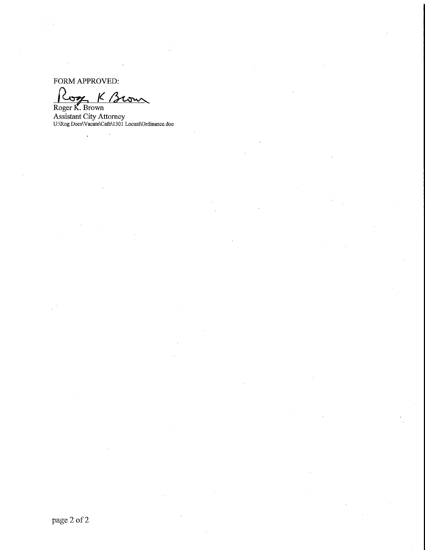FORM APPROVED:

 $\ddot{\phantom{a}}$ 

 $K$  Brown

Roger K. Brown Assistant City Attorney U:VR.og Docs\Vacate\Cafe\1301 Locust\0rdinance.doc